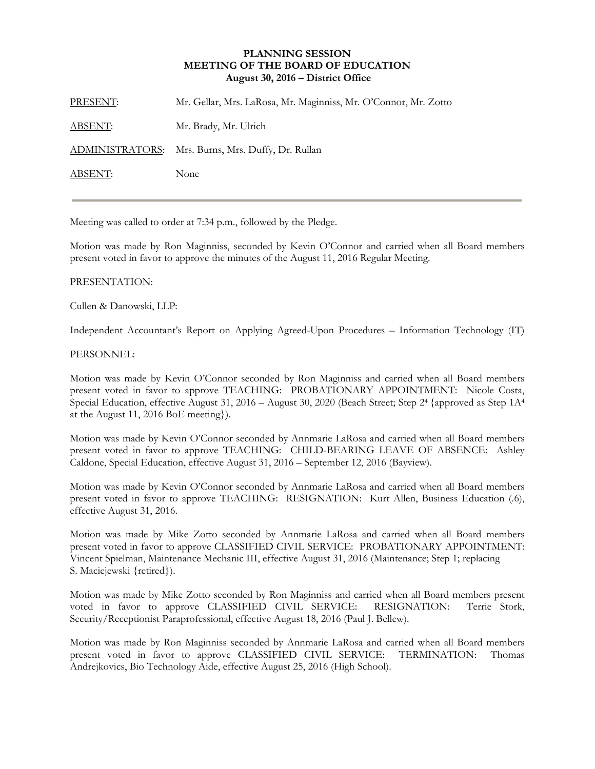## **PLANNING SESSION MEETING OF THE BOARD OF EDUCATION August 30, 2016 – District Office**

| PRESENT:       | Mr. Gellar, Mrs. LaRosa, Mr. Maginniss, Mr. O'Connor, Mr. Zotto |
|----------------|-----------------------------------------------------------------|
| <u>ABSENT:</u> | Mr. Brady, Mr. Ulrich                                           |
|                | ADMINISTRATORS: Mrs. Burns, Mrs. Duffy, Dr. Rullan              |
| ABSENT:        | None                                                            |

Meeting was called to order at 7:34 p.m., followed by the Pledge.

Motion was made by Ron Maginniss, seconded by Kevin O'Connor and carried when all Board members present voted in favor to approve the minutes of the August 11, 2016 Regular Meeting.

## PRESENTATION:

Cullen & Danowski, LLP:

Independent Accountant's Report on Applying Agreed-Upon Procedures – Information Technology (IT)

## PERSONNEL:

Motion was made by Kevin O'Connor seconded by Ron Maginniss and carried when all Board members present voted in favor to approve TEACHING: PROBATIONARY APPOINTMENT: Nicole Costa, Special Education, effective August 31, 2016 – August 30, 2020 (Beach Street; Step 2<sup>4</sup> {approved as Step 1A<sup>4</sup>} at the August 11, 2016 BoE meeting}).

Motion was made by Kevin O'Connor seconded by Annmarie LaRosa and carried when all Board members present voted in favor to approve TEACHING: CHILD-BEARING LEAVE OF ABSENCE: Ashley Caldone, Special Education, effective August 31, 2016 – September 12, 2016 (Bayview).

Motion was made by Kevin O'Connor seconded by Annmarie LaRosa and carried when all Board members present voted in favor to approve TEACHING: RESIGNATION: Kurt Allen, Business Education (.6), effective August 31, 2016.

Motion was made by Mike Zotto seconded by Annmarie LaRosa and carried when all Board members present voted in favor to approve CLASSIFIED CIVIL SERVICE: PROBATIONARY APPOINTMENT: Vincent Spielman, Maintenance Mechanic III, effective August 31, 2016 (Maintenance; Step 1; replacing S. Maciejewski {retired}).

Motion was made by Mike Zotto seconded by Ron Maginniss and carried when all Board members present voted in favor to approve CLASSIFIED CIVIL SERVICE: RESIGNATION: Terrie Stork, Security/Receptionist Paraprofessional, effective August 18, 2016 (Paul J. Bellew).

Motion was made by Ron Maginniss seconded by Annmarie LaRosa and carried when all Board members present voted in favor to approve CLASSIFIED CIVIL SERVICE: TERMINATION: Thomas Andrejkovics, Bio Technology Aide, effective August 25, 2016 (High School).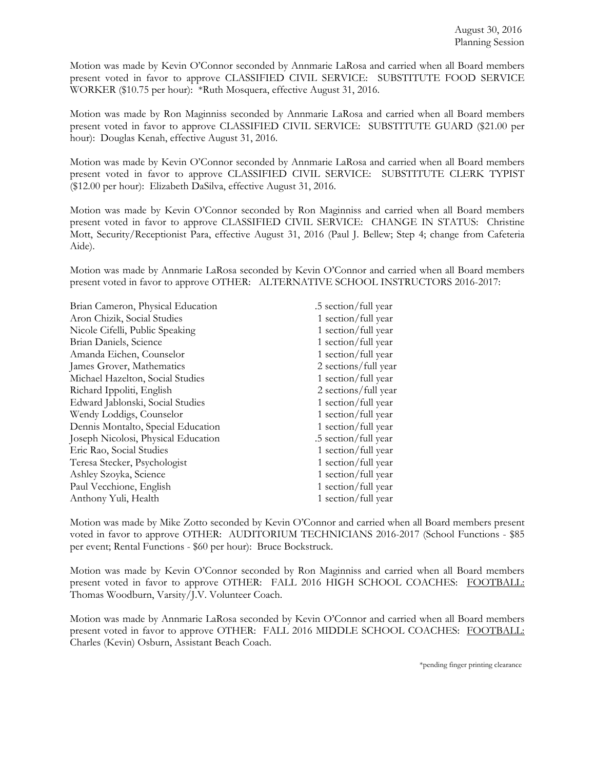Motion was made by Kevin O'Connor seconded by Annmarie LaRosa and carried when all Board members present voted in favor to approve CLASSIFIED CIVIL SERVICE: SUBSTITUTE FOOD SERVICE WORKER (\$10.75 per hour): \*Ruth Mosquera, effective August 31, 2016.

Motion was made by Ron Maginniss seconded by Annmarie LaRosa and carried when all Board members present voted in favor to approve CLASSIFIED CIVIL SERVICE: SUBSTITUTE GUARD (\$21.00 per hour): Douglas Kenah, effective August 31, 2016.

Motion was made by Kevin O'Connor seconded by Annmarie LaRosa and carried when all Board members present voted in favor to approve CLASSIFIED CIVIL SERVICE: SUBSTITUTE CLERK TYPIST (\$12.00 per hour): Elizabeth DaSilva, effective August 31, 2016.

Motion was made by Kevin O'Connor seconded by Ron Maginniss and carried when all Board members present voted in favor to approve CLASSIFIED CIVIL SERVICE: CHANGE IN STATUS: Christine Mott, Security/Receptionist Para, effective August 31, 2016 (Paul J. Bellew; Step 4; change from Cafeteria Aide).

Motion was made by Annmarie LaRosa seconded by Kevin O'Connor and carried when all Board members present voted in favor to approve OTHER: ALTERNATIVE SCHOOL INSTRUCTORS 2016-2017:

| Brian Cameron, Physical Education   | .5 section/full year |
|-------------------------------------|----------------------|
| Aron Chizik, Social Studies         | 1 section/full year  |
| Nicole Cifelli, Public Speaking     | 1 section/full year  |
| Brian Daniels, Science              | 1 section/full year  |
| Amanda Eichen, Counselor            | 1 section/full year  |
| James Grover, Mathematics           | 2 sections/full year |
| Michael Hazelton, Social Studies    | 1 section/full year  |
| Richard Ippoliti, English           | 2 sections/full year |
| Edward Jablonski, Social Studies    | 1 section/full year  |
| Wendy Loddigs, Counselor            | 1 section/full year  |
| Dennis Montalto, Special Education  | 1 section/full year  |
| Joseph Nicolosi, Physical Education | .5 section/full year |
| Eric Rao, Social Studies            | 1 section/full year  |
| Teresa Stecker, Psychologist        | 1 section/full year  |
| Ashley Szoyka, Science              | 1 section/full year  |
| Paul Vecchione, English             | 1 section/full year  |
| Anthony Yuli, Health                | 1 section/full year  |

Motion was made by Mike Zotto seconded by Kevin O'Connor and carried when all Board members present voted in favor to approve OTHER: AUDITORIUM TECHNICIANS 2016-2017 (School Functions - \$85 per event; Rental Functions - \$60 per hour): Bruce Bockstruck.

Motion was made by Kevin O'Connor seconded by Ron Maginniss and carried when all Board members present voted in favor to approve OTHER: FALL 2016 HIGH SCHOOL COACHES: FOOTBALL: Thomas Woodburn, Varsity/J.V. Volunteer Coach.

Motion was made by Annmarie LaRosa seconded by Kevin O'Connor and carried when all Board members present voted in favor to approve OTHER: FALL 2016 MIDDLE SCHOOL COACHES: FOOTBALL: Charles (Kevin) Osburn, Assistant Beach Coach.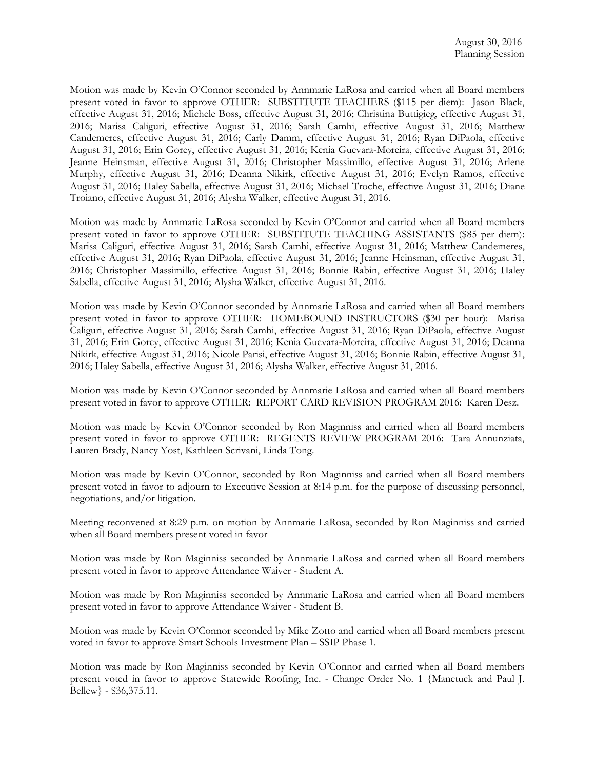Motion was made by Kevin O'Connor seconded by Annmarie LaRosa and carried when all Board members present voted in favor to approve OTHER: SUBSTITUTE TEACHERS (\$115 per diem): Jason Black, effective August 31, 2016; Michele Boss, effective August 31, 2016; Christina Buttigieg, effective August 31, 2016; Marisa Caliguri, effective August 31, 2016; Sarah Camhi, effective August 31, 2016; Matthew Candemeres, effective August 31, 2016; Carly Damm, effective August 31, 2016; Ryan DiPaola, effective August 31, 2016; Erin Gorey, effective August 31, 2016; Kenia Guevara-Moreira, effective August 31, 2016; Jeanne Heinsman, effective August 31, 2016; Christopher Massimillo, effective August 31, 2016; Arlene Murphy, effective August 31, 2016; Deanna Nikirk, effective August 31, 2016; Evelyn Ramos, effective August 31, 2016; Haley Sabella, effective August 31, 2016; Michael Troche, effective August 31, 2016; Diane Troiano, effective August 31, 2016; Alysha Walker, effective August 31, 2016.

Motion was made by Annmarie LaRosa seconded by Kevin O'Connor and carried when all Board members present voted in favor to approve OTHER: SUBSTITUTE TEACHING ASSISTANTS (\$85 per diem): Marisa Caliguri, effective August 31, 2016; Sarah Camhi, effective August 31, 2016; Matthew Candemeres, effective August 31, 2016; Ryan DiPaola, effective August 31, 2016; Jeanne Heinsman, effective August 31, 2016; Christopher Massimillo, effective August 31, 2016; Bonnie Rabin, effective August 31, 2016; Haley Sabella, effective August 31, 2016; Alysha Walker, effective August 31, 2016.

Motion was made by Kevin O'Connor seconded by Annmarie LaRosa and carried when all Board members present voted in favor to approve OTHER: HOMEBOUND INSTRUCTORS (\$30 per hour): Marisa Caliguri, effective August 31, 2016; Sarah Camhi, effective August 31, 2016; Ryan DiPaola, effective August 31, 2016; Erin Gorey, effective August 31, 2016; Kenia Guevara-Moreira, effective August 31, 2016; Deanna Nikirk, effective August 31, 2016; Nicole Parisi, effective August 31, 2016; Bonnie Rabin, effective August 31, 2016; Haley Sabella, effective August 31, 2016; Alysha Walker, effective August 31, 2016.

Motion was made by Kevin O'Connor seconded by Annmarie LaRosa and carried when all Board members present voted in favor to approve OTHER: REPORT CARD REVISION PROGRAM 2016: Karen Desz.

Motion was made by Kevin O'Connor seconded by Ron Maginniss and carried when all Board members present voted in favor to approve OTHER: REGENTS REVIEW PROGRAM 2016: Tara Annunziata, Lauren Brady, Nancy Yost, Kathleen Scrivani, Linda Tong.

Motion was made by Kevin O'Connor, seconded by Ron Maginniss and carried when all Board members present voted in favor to adjourn to Executive Session at 8:14 p.m. for the purpose of discussing personnel, negotiations, and/or litigation.

Meeting reconvened at 8:29 p.m. on motion by Annmarie LaRosa, seconded by Ron Maginniss and carried when all Board members present voted in favor

Motion was made by Ron Maginniss seconded by Annmarie LaRosa and carried when all Board members present voted in favor to approve Attendance Waiver - Student A.

Motion was made by Ron Maginniss seconded by Annmarie LaRosa and carried when all Board members present voted in favor to approve Attendance Waiver - Student B.

Motion was made by Kevin O'Connor seconded by Mike Zotto and carried when all Board members present voted in favor to approve Smart Schools Investment Plan – SSIP Phase 1.

Motion was made by Ron Maginniss seconded by Kevin O'Connor and carried when all Board members present voted in favor to approve Statewide Roofing, Inc. - Change Order No. 1 {Manetuck and Paul J. Bellew} - \$36,375.11.